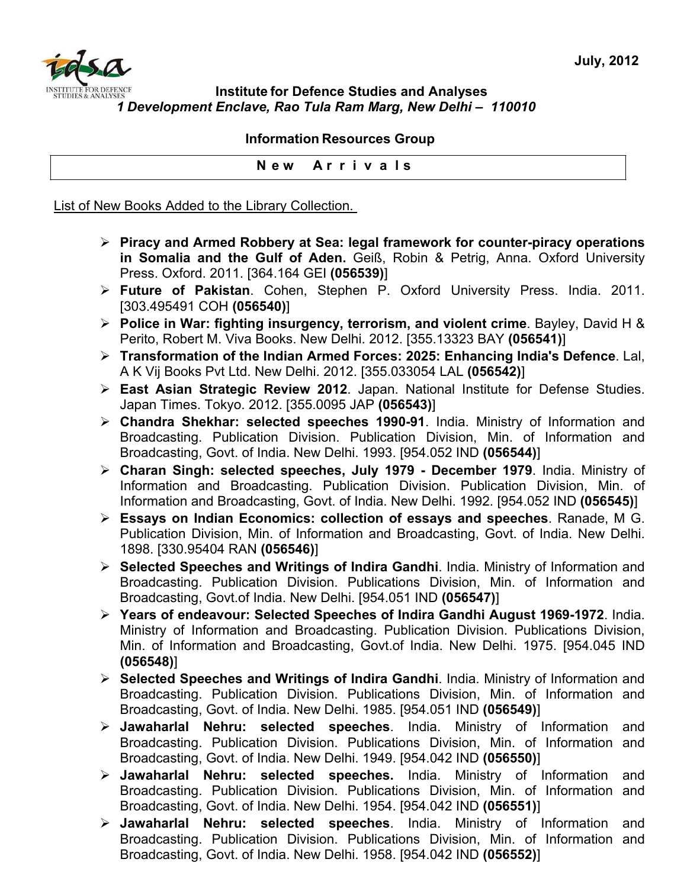

## **Institute for Defence Studies and Analyses** *1 Development Enclave, Rao Tula Ram Marg, New Delhi – 110010*

## **Information Resources Group**

**N e w A r r i v a l s**

List of New Books Added to the Library Collection.

- ¾ **Piracy and Armed Robbery at Sea: legal framework for counter-piracy operations in Somalia and the Gulf of Aden.** Geiß, Robin & Petrig, Anna. Oxford University Press. Oxford. 2011. [364.164 GEI **(056539)**]
- ¾ **Future of Pakistan**. Cohen, Stephen P. Oxford University Press. India. 2011. [303.495491 COH **(056540)**]
- ¾ **Police in War: fighting insurgency, terrorism, and violent crime**. Bayley, David H & Perito, Robert M. Viva Books. New Delhi. 2012. [355.13323 BAY **(056541)**]
- ¾ **Transformation of the Indian Armed Forces: 2025: Enhancing India's Defence**. Lal, A K Vij Books Pvt Ltd. New Delhi. 2012. [355.033054 LAL **(056542)**]
- ¾ **East Asian Strategic Review 2012**. Japan. National Institute for Defense Studies. Japan Times. Tokyo. 2012. [355.0095 JAP **(056543)**]
- ¾ **Chandra Shekhar: selected speeches 1990-91**. India. Ministry of Information and Broadcasting. Publication Division. Publication Division, Min. of Information and Broadcasting, Govt. of India. New Delhi. 1993. [954.052 IND **(056544)**]
- ¾ **Charan Singh: selected speeches, July 1979 December 1979**. India. Ministry of Information and Broadcasting. Publication Division. Publication Division, Min. of Information and Broadcasting, Govt. of India. New Delhi. 1992. [954.052 IND **(056545)**]
- ¾ **Essays on Indian Economics: collection of essays and speeches**. Ranade, M G. Publication Division, Min. of Information and Broadcasting, Govt. of India. New Delhi. 1898. [330.95404 RAN **(056546)**]
- ¾ **Selected Speeches and Writings of Indira Gandhi**. India. Ministry of Information and Broadcasting. Publication Division. Publications Division, Min. of Information and Broadcasting, Govt.of India. New Delhi. [954.051 IND **(056547)**]
- ¾ **Years of endeavour: Selected Speeches of Indira Gandhi August 1969-1972**. India. Ministry of Information and Broadcasting. Publication Division. Publications Division, Min. of Information and Broadcasting, Govt.of India. New Delhi. 1975. [954.045 IND **(056548)**]
- ¾ **Selected Speeches and Writings of Indira Gandhi**. India. Ministry of Information and Broadcasting. Publication Division. Publications Division, Min. of Information and Broadcasting, Govt. of India. New Delhi. 1985. [954.051 IND **(056549)**]
- ¾ **Jawaharlal Nehru: selected speeches**. India. Ministry of Information and Broadcasting. Publication Division. Publications Division, Min. of Information and Broadcasting, Govt. of India. New Delhi. 1949. [954.042 IND **(056550)**]
- ¾ **Jawaharlal Nehru: selected speeches.** India. Ministry of Information and Broadcasting. Publication Division. Publications Division, Min. of Information and Broadcasting, Govt. of India. New Delhi. 1954. [954.042 IND **(056551)**]
- ¾ **Jawaharlal Nehru: selected speeches**. India. Ministry of Information and Broadcasting. Publication Division. Publications Division, Min. of Information and Broadcasting, Govt. of India. New Delhi. 1958. [954.042 IND **(056552)**]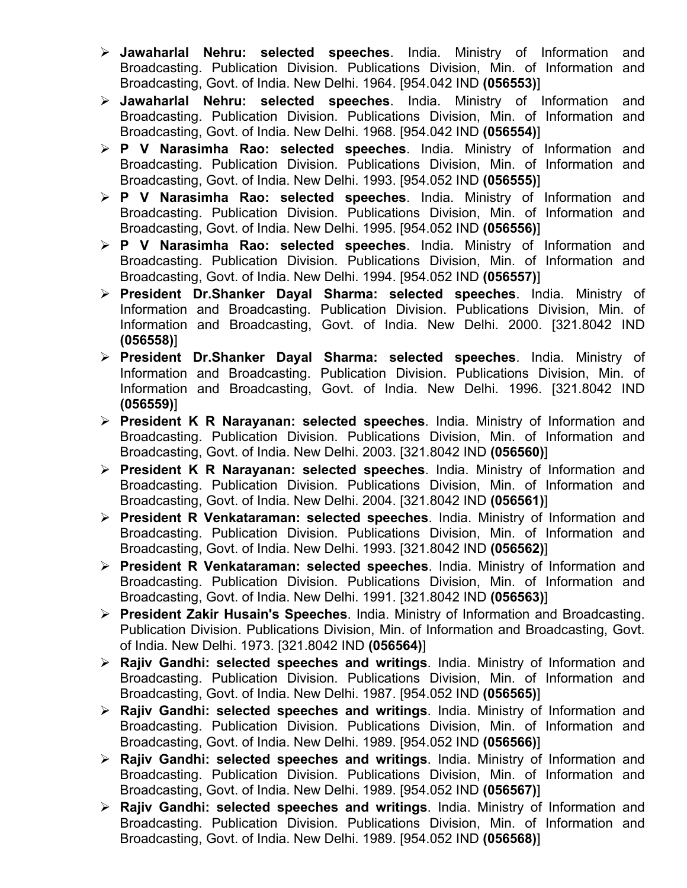- ¾ **Jawaharlal Nehru: selected speeches**. India. Ministry of Information and Broadcasting. Publication Division. Publications Division, Min. of Information and Broadcasting, Govt. of India. New Delhi. 1964. [954.042 IND **(056553)**]
- ¾ **Jawaharlal Nehru: selected speeches**. India. Ministry of Information and Broadcasting. Publication Division. Publications Division, Min. of Information and Broadcasting, Govt. of India. New Delhi. 1968. [954.042 IND **(056554)**]
- ¾ **P V Narasimha Rao: selected speeches**. India. Ministry of Information and Broadcasting. Publication Division. Publications Division, Min. of Information and Broadcasting, Govt. of India. New Delhi. 1993. [954.052 IND **(056555)**]
- ¾ **P V Narasimha Rao: selected speeches**. India. Ministry of Information and Broadcasting. Publication Division. Publications Division, Min. of Information and Broadcasting, Govt. of India. New Delhi. 1995. [954.052 IND **(056556)**]
- ¾ **P V Narasimha Rao: selected speeches**. India. Ministry of Information and Broadcasting. Publication Division. Publications Division, Min. of Information and Broadcasting, Govt. of India. New Delhi. 1994. [954.052 IND **(056557)**]
- ¾ **President Dr.Shanker Dayal Sharma: selected speeches**. India. Ministry of Information and Broadcasting. Publication Division. Publications Division, Min. of Information and Broadcasting, Govt. of India. New Delhi. 2000. [321.8042 IND **(056558)**]
- ¾ **President Dr.Shanker Dayal Sharma: selected speeches**. India. Ministry of Information and Broadcasting. Publication Division. Publications Division, Min. of Information and Broadcasting, Govt. of India. New Delhi. 1996. [321.8042 IND **(056559)**]
- ¾ **President K R Narayanan: selected speeches**. India. Ministry of Information and Broadcasting. Publication Division. Publications Division, Min. of Information and Broadcasting, Govt. of India. New Delhi. 2003. [321.8042 IND **(056560)**]
- ¾ **President K R Narayanan: selected speeches**. India. Ministry of Information and Broadcasting. Publication Division. Publications Division, Min. of Information and Broadcasting, Govt. of India. New Delhi. 2004. [321.8042 IND **(056561)**]
- ¾ **President R Venkataraman: selected speeches**. India. Ministry of Information and Broadcasting. Publication Division. Publications Division, Min. of Information and Broadcasting, Govt. of India. New Delhi. 1993. [321.8042 IND **(056562)**]
- ¾ **President R Venkataraman: selected speeches**. India. Ministry of Information and Broadcasting. Publication Division. Publications Division, Min. of Information and Broadcasting, Govt. of India. New Delhi. 1991. [321.8042 IND **(056563)**]
- ¾ **President Zakir Husain's Speeches**. India. Ministry of Information and Broadcasting. Publication Division. Publications Division, Min. of Information and Broadcasting, Govt. of India. New Delhi. 1973. [321.8042 IND **(056564)**]
- ¾ **Rajiv Gandhi: selected speeches and writings**. India. Ministry of Information and Broadcasting. Publication Division. Publications Division, Min. of Information and Broadcasting, Govt. of India. New Delhi. 1987. [954.052 IND **(056565)**]
- ¾ **Rajiv Gandhi: selected speeches and writings**. India. Ministry of Information and Broadcasting. Publication Division. Publications Division, Min. of Information and Broadcasting, Govt. of India. New Delhi. 1989. [954.052 IND **(056566)**]
- ¾ **Rajiv Gandhi: selected speeches and writings**. India. Ministry of Information and Broadcasting. Publication Division. Publications Division, Min. of Information and Broadcasting, Govt. of India. New Delhi. 1989. [954.052 IND **(056567)**]
- ¾ **Rajiv Gandhi: selected speeches and writings**. India. Ministry of Information and Broadcasting. Publication Division. Publications Division, Min. of Information and Broadcasting, Govt. of India. New Delhi. 1989. [954.052 IND **(056568)**]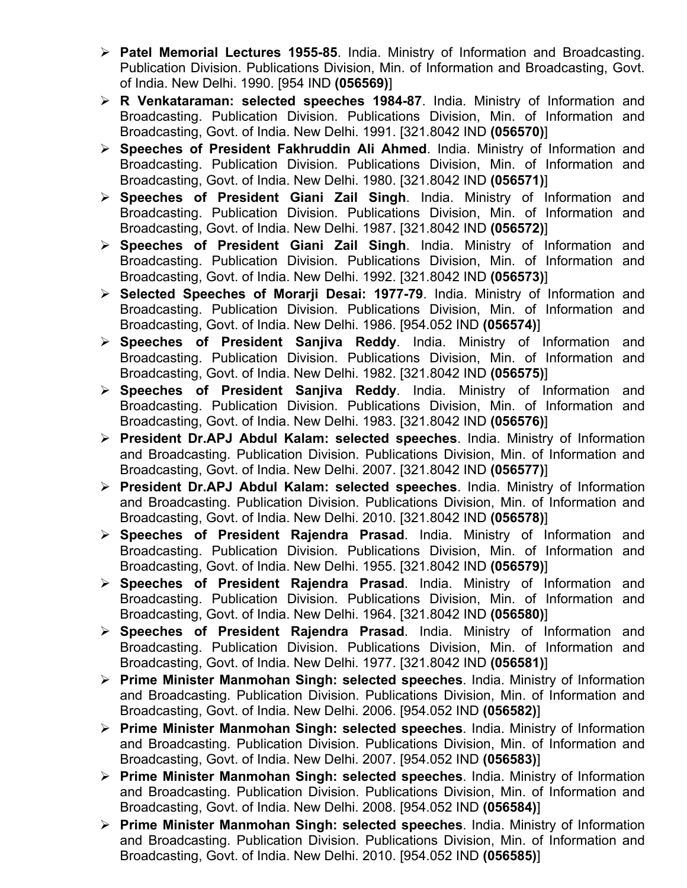- ¾ **Patel Memorial Lectures 1955-85**. India. Ministry of Information and Broadcasting. Publication Division. Publications Division, Min. of Information and Broadcasting, Govt. of India. New Delhi. 1990. [954 IND **(056569)**]
- ¾ **R Venkataraman: selected speeches 1984-87**. India. Ministry of Information and Broadcasting. Publication Division. Publications Division, Min. of Information and Broadcasting, Govt. of India. New Delhi. 1991. [321.8042 IND **(056570)**]
- ¾ **Speeches of President Fakhruddin Ali Ahmed**. India. Ministry of Information and Broadcasting. Publication Division. Publications Division, Min. of Information and Broadcasting, Govt. of India. New Delhi. 1980. [321.8042 IND **(056571)**]
- ¾ **Speeches of President Giani Zail Singh**. India. Ministry of Information and Broadcasting. Publication Division. Publications Division, Min. of Information and Broadcasting, Govt. of India. New Delhi. 1987. [321.8042 IND **(056572)**]
- ¾ **Speeches of President Giani Zail Singh**. India. Ministry of Information and Broadcasting. Publication Division. Publications Division, Min. of Information and Broadcasting, Govt. of India. New Delhi. 1992. [321.8042 IND **(056573)**]
- ¾ **Selected Speeches of Morarji Desai: 1977-79**. India. Ministry of Information and Broadcasting. Publication Division. Publications Division, Min. of Information and Broadcasting, Govt. of India. New Delhi. 1986. [954.052 IND **(056574)**]
- ¾ **Speeches of President Sanjiva Reddy**. India. Ministry of Information and Broadcasting. Publication Division. Publications Division, Min. of Information and Broadcasting, Govt. of India. New Delhi. 1982. [321.8042 IND **(056575)**]
- ¾ **Speeches of President Sanjiva Reddy**. India. Ministry of Information and Broadcasting. Publication Division. Publications Division, Min. of Information and Broadcasting, Govt. of India. New Delhi. 1983. [321.8042 IND **(056576)**]
- ¾ **President Dr.APJ Abdul Kalam: selected speeches**. India. Ministry of Information and Broadcasting. Publication Division. Publications Division, Min. of Information and Broadcasting, Govt. of India. New Delhi. 2007. [321.8042 IND **(056577)**]
- ¾ **President Dr.APJ Abdul Kalam: selected speeches**. India. Ministry of Information and Broadcasting. Publication Division. Publications Division, Min. of Information and Broadcasting, Govt. of India. New Delhi. 2010. [321.8042 IND **(056578)**]
- ¾ **Speeches of President Rajendra Prasad**. India. Ministry of Information and Broadcasting. Publication Division. Publications Division, Min. of Information and Broadcasting, Govt. of India. New Delhi. 1955. [321.8042 IND **(056579)**]
- ¾ **Speeches of President Rajendra Prasad**. India. Ministry of Information and Broadcasting. Publication Division. Publications Division, Min. of Information and Broadcasting, Govt. of India. New Delhi. 1964. [321.8042 IND **(056580)**]
- ¾ **Speeches of President Rajendra Prasad**. India. Ministry of Information and Broadcasting. Publication Division. Publications Division, Min. of Information and Broadcasting, Govt. of India. New Delhi. 1977. [321.8042 IND **(056581)**]
- ¾ **Prime Minister Manmohan Singh: selected speeches**. India. Ministry of Information and Broadcasting. Publication Division. Publications Division, Min. of Information and Broadcasting, Govt. of India. New Delhi. 2006. [954.052 IND **(056582)**]
- ¾ **Prime Minister Manmohan Singh: selected speeches**. India. Ministry of Information and Broadcasting. Publication Division. Publications Division, Min. of Information and Broadcasting, Govt. of India. New Delhi. 2007. [954.052 IND **(056583)**]
- ¾ **Prime Minister Manmohan Singh: selected speeches**. India. Ministry of Information and Broadcasting. Publication Division. Publications Division, Min. of Information and Broadcasting, Govt. of India. New Delhi. 2008. [954.052 IND **(056584)**]
- ¾ **Prime Minister Manmohan Singh: selected speeches**. India. Ministry of Information and Broadcasting. Publication Division. Publications Division, Min. of Information and Broadcasting, Govt. of India. New Delhi. 2010. [954.052 IND **(056585)**]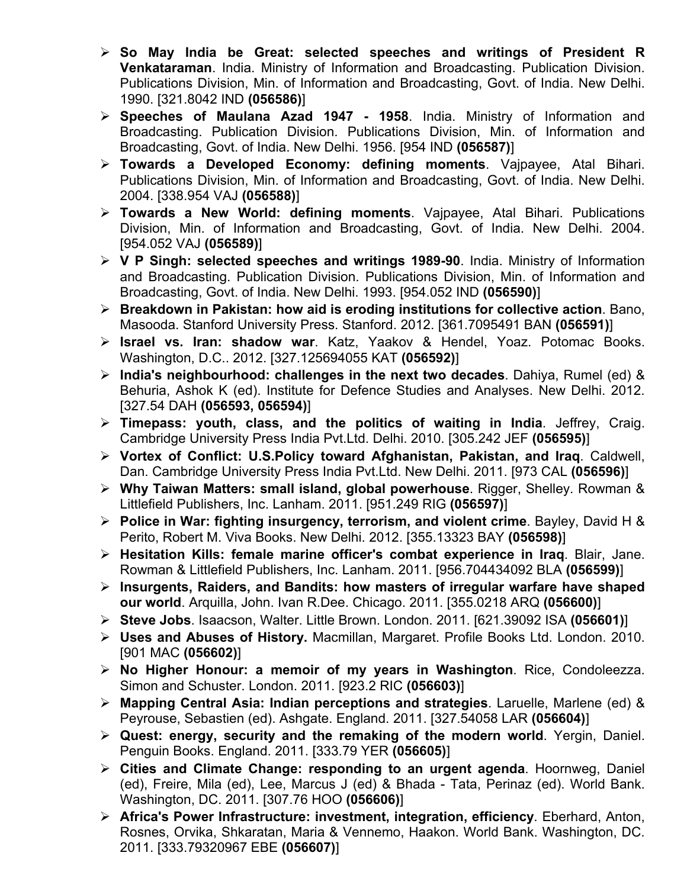- ¾ **So May India be Great: selected speeches and writings of President R Venkataraman**. India. Ministry of Information and Broadcasting. Publication Division. Publications Division, Min. of Information and Broadcasting, Govt. of India. New Delhi. 1990. [321.8042 IND **(056586)**]
- ¾ **Speeches of Maulana Azad 1947 1958**. India. Ministry of Information and Broadcasting. Publication Division. Publications Division, Min. of Information and Broadcasting, Govt. of India. New Delhi. 1956. [954 IND **(056587)**]
- ¾ **Towards a Developed Economy: defining moments**. Vajpayee, Atal Bihari. Publications Division, Min. of Information and Broadcasting, Govt. of India. New Delhi. 2004. [338.954 VAJ **(056588)**]
- ¾ **Towards a New World: defining moments**. Vajpayee, Atal Bihari. Publications Division, Min. of Information and Broadcasting, Govt. of India. New Delhi. 2004. [954.052 VAJ **(056589)**]
- ¾ **V P Singh: selected speeches and writings 1989-90**. India. Ministry of Information and Broadcasting. Publication Division. Publications Division, Min. of Information and Broadcasting, Govt. of India. New Delhi. 1993. [954.052 IND **(056590)**]
- ¾ **Breakdown in Pakistan: how aid is eroding institutions for collective action**. Bano, Masooda. Stanford University Press. Stanford. 2012. [361.7095491 BAN **(056591)**]
- ¾ **Israel vs. Iran: shadow war**. Katz, Yaakov & Hendel, Yoaz. Potomac Books. Washington, D.C.. 2012. [327.125694055 KAT **(056592)**]
- ¾ **India's neighbourhood: challenges in the next two decades**. Dahiya, Rumel (ed) & Behuria, Ashok K (ed). Institute for Defence Studies and Analyses. New Delhi. 2012. [327.54 DAH **(056593, 056594)**]
- ¾ **Timepass: youth, class, and the politics of waiting in India**. Jeffrey, Craig. Cambridge University Press India Pvt.Ltd. Delhi. 2010. [305.242 JEF **(056595)**]
- ¾ **Vortex of Conflict: U.S.Policy toward Afghanistan, Pakistan, and Iraq**. Caldwell, Dan. Cambridge University Press India Pvt.Ltd. New Delhi. 2011. [973 CAL **(056596)**]
- ¾ **Why Taiwan Matters: small island, global powerhouse**. Rigger, Shelley. Rowman & Littlefield Publishers, Inc. Lanham. 2011. [951.249 RIG **(056597)**]
- ¾ **Police in War: fighting insurgency, terrorism, and violent crime**. Bayley, David H & Perito, Robert M. Viva Books. New Delhi. 2012. [355.13323 BAY **(056598)**]
- ¾ **Hesitation Kills: female marine officer's combat experience in Iraq**. Blair, Jane. Rowman & Littlefield Publishers, Inc. Lanham. 2011. [956.704434092 BLA **(056599)**]
- ¾ **Insurgents, Raiders, and Bandits: how masters of irregular warfare have shaped our world**. Arquilla, John. Ivan R.Dee. Chicago. 2011. [355.0218 ARQ **(056600)**]
- ¾ **Steve Jobs**. Isaacson, Walter. Little Brown. London. 2011. [621.39092 ISA **(056601)**]
- ¾ **Uses and Abuses of History.** Macmillan, Margaret. Profile Books Ltd. London. 2010. [901 MAC **(056602)**]
- ¾ **No Higher Honour: a memoir of my years in Washington**. Rice, Condoleezza. Simon and Schuster. London. 2011. [923.2 RIC **(056603)**]
- ¾ **Mapping Central Asia: Indian perceptions and strategies**. Laruelle, Marlene (ed) & Peyrouse, Sebastien (ed). Ashgate. England. 2011. [327.54058 LAR **(056604)**]
- ¾ **Quest: energy, security and the remaking of the modern world**. Yergin, Daniel. Penguin Books. England. 2011. [333.79 YER **(056605)**]
- ¾ **Cities and Climate Change: responding to an urgent agenda**. Hoornweg, Daniel (ed), Freire, Mila (ed), Lee, Marcus J (ed) & Bhada - Tata, Perinaz (ed). World Bank. Washington, DC. 2011. [307.76 HOO **(056606)**]
- ¾ **Africa's Power Infrastructure: investment, integration, efficiency**. Eberhard, Anton, Rosnes, Orvika, Shkaratan, Maria & Vennemo, Haakon. World Bank. Washington, DC. 2011. [333.79320967 EBE **(056607)**]